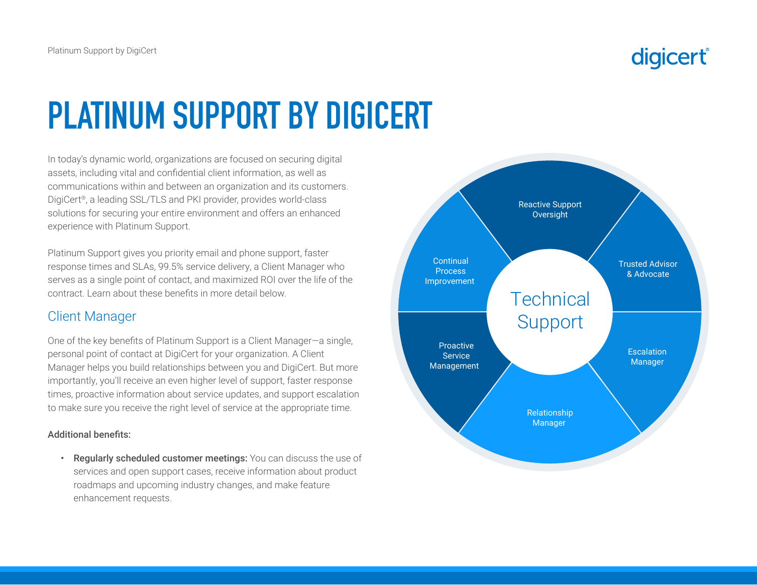# **PLATINUM SUPPORT BY DIGICERT**

In today's dynamic world, organizations are focused on securing digital assets, including vital and confidential client information, as well as communications within and between an organization and its customers. DigiCert®, a leading SSL/TLS and PKI provider, provides world-class solutions for securing your entire environment and offers an enhanced experience with Platinum Support.

Platinum Support gives you priority email and phone support, faster response times and SLAs, 99.5% service delivery, a Client Manager who serves as a single point of contact, and maximized ROI over the life of the contract. Learn about these benefits in more detail below.

#### Client Manager

One of the key benefits of Platinum Support is a Client Manager—a single, personal point of contact at DigiCert for your organization. A Client Manager helps you build relationships between you and DigiCert. But more importantly, you'll receive an even higher level of support, faster response times, proactive information about service updates, and support escalation to make sure you receive the right level of service at the appropriate time.

#### Additional benefits:

Regularly scheduled customer meetings: You can discuss the use of services and open support cases, receive information about product roadmaps and upcoming industry changes, and make feature enhancement requests.

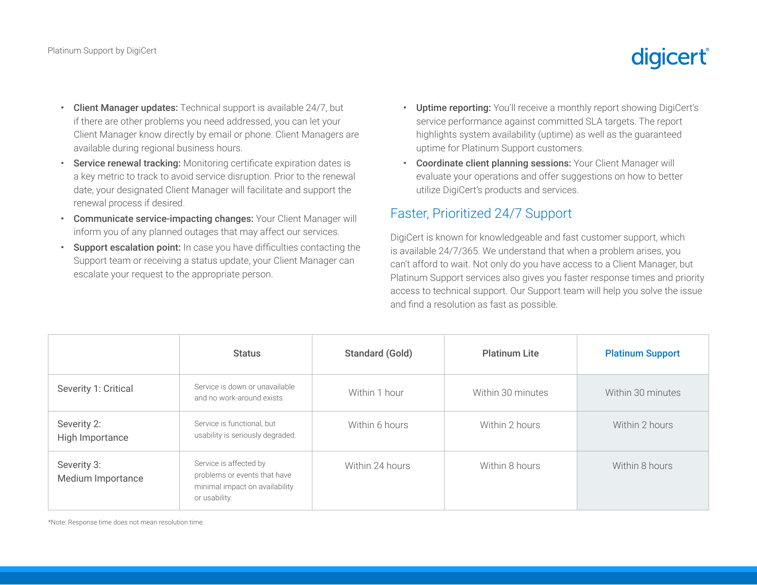## digicert®

- Client Manager updates: Technical support is available 24/7, but if there are other problems you need addressed, you can let your Client Manager know directly by email or phone. Client Managers are available during regional business hours.
- Service renewal tracking: Monitoring certificate expiration dates is a key metric to track to avoid service disruption. Prior to the renewal date, your designated Client Manager will facilitate and support the renewal process if desired.
- Communicate service-impacting changes: Your Client Manager will inform you of any planned outages that may affect our services.
- Support escalation point: In case you have difficulties contacting the Support team or receiving a status update, your Client Manager can escalate your request to the appropriate person.
- Uptime reporting: You'll receive a monthly report showing DigiCert's service performance against committed SLA targets. The report highlights system availability (uptime) as well as the guaranteed uptime for Platinum Support customers.
- Coordinate client planning sessions: Your Client Manager will evaluate your operations and offer suggestions on how to better utilize DigiCert's products and services.

#### Faster, Prioritized 24/7 Support

DigiCert is known for knowledgeable and fast customer support, which is available 24/7/365. We understand that when a problem arises, you can't afford to wait. Not only do you have access to a Client Manager, but Platinum Support services also gives you faster response times and priority access to technical support. Our Support team will help you solve the issue and find a resolution as fast as possible.

|                                  | <b>Status</b>                                                                                             | Standard (Gold) | <b>Platinum Lite</b> | <b>Platinum Support</b> |
|----------------------------------|-----------------------------------------------------------------------------------------------------------|-----------------|----------------------|-------------------------|
| Severity 1: Critical             | Service is down or unavailable<br>and no work-around exists.                                              | Within 1 hour   | Within 30 minutes    | Within 30 minutes       |
| Severity 2:<br>High Importance   | Service is functional, but<br>usability is seriously degraded.                                            | Within 6 hours  | Within 2 hours       | Within 2 hours          |
| Severity 3:<br>Medium Importance | Service is affected by<br>problems or events that have<br>minimal impact on availability<br>or usability. | Within 24 hours | Within 8 hours       | Within 8 hours          |

\*Note: Response time does not mean resolution time.